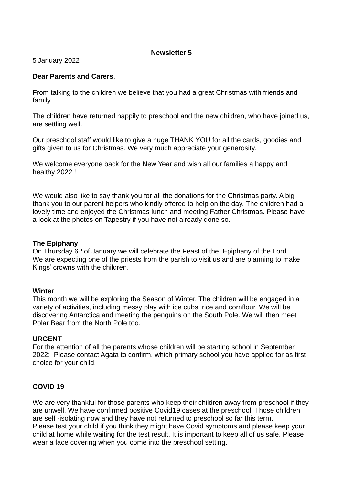# **Newsletter 5**

5 January 2022

# **Dear Parents and Carers**,

From talking to the children we believe that you had a great Christmas with friends and family.

The children have returned happily to preschool and the new children, who have joined us, are settling well.

Our preschool staff would like to give a huge THANK YOU for all the cards, goodies and gifts given to us for Christmas. We very much appreciate your generosity.

We welcome everyone back for the New Year and wish all our families a happy and healthy 2022 !

We would also like to say thank you for all the donations for the Christmas party. A big thank you to our parent helpers who kindly offered to help on the day. The children had a lovely time and enjoyed the Christmas lunch and meeting Father Christmas. Please have a look at the photos on Tapestry if you have not already done so.

## **The Epiphany**

On Thursday 6<sup>th</sup> of January we will celebrate the Feast of the Epiphany of the Lord. We are expecting one of the priests from the parish to visit us and are planning to make Kings' crowns with the children.

#### **Winter**

This month we will be exploring the Season of Winter. The children will be engaged in a variety of activities, including messy play with ice cubs, rice and cornflour. We will be discovering Antarctica and meeting the penguins on the South Pole. We will then meet Polar Bear from the North Pole too.

## **URGENT**

For the attention of all the parents whose children will be starting school in September 2022: Please contact Agata to confirm, which primary school you have applied for as first choice for your child.

## **COVID 19**

We are very thankful for those parents who keep their children away from preschool if they are unwell. We have confirmed positive Covid19 cases at the preschool. Those children are self -isolating now and they have not returned to preschool so far this term. Please test your child if you think they might have Covid symptoms and please keep your child at home while waiting for the test result. It is important to keep all of us safe. Please wear a face covering when you come into the preschool setting.